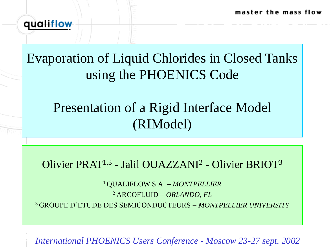master the mass flow



# Evaporation of Liquid Chlorides in Closed Tanks using the PHOENICS Code

# Presentation of a Rigid Interface Model (RIModel)

## Olivier PRAT<sup>1,3</sup> - Jalil OUAZZANI<sup>2</sup> - Olivier BRIOT<sup>3</sup>

<sup>1</sup>QUALIFLOW S.A. *MONTPELLIER*  <sup>2</sup> ARCOFLUID *ORLANDO, FL* <sup>3</sup>GROUPE D'ETUDE DES SEMICONDUCTEURS *MONTPELLIER UNIVERSITY*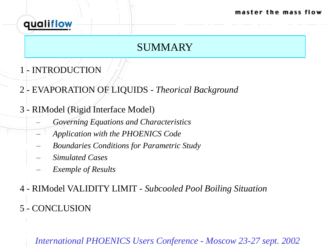

### SUMMARY

- 1 INTRODUCTION
- 2 EVAPORATION OF LIQUIDS *Theorical Background*
- 3 RIModel (Rigid Interface Model)
	- *Governing Equations and Characteristics*
	- *Application with the PHOENICS Code*
	- *Boundaries Conditions for Parametric Study*
	- *Simulated Cases*
	- *Exemple of Results*
- 4 RIModel VALIDITY LIMIT *Subcooled Pool Boiling Situation* 5 - CONCLUSION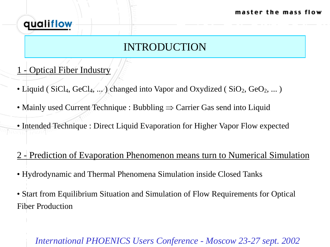

## INTRODUCTION

- 1 Optical Fiber Industry
- Liquid (  $SiCl<sub>4</sub>, GeCl<sub>4</sub>, ...$  ) changed into Vapor and Oxydized (  $SiO<sub>2</sub>, GeO<sub>2</sub>, ...$  )
- Mainly used Current Technique : Bubbling  $\Rightarrow$  Carrier Gas send into Liquid
- Intended Technique : Direct Liquid Evaporation for Higher Vapor Flow expected
- 2 Prediction of Evaporation Phenomenon means turn to Numerical Simulation
- Hydrodynamic and Thermal Phenomena Simulation inside Closed Tanks
- Start from Equilibrium Situation and Simulation of Flow Requirements for Optical Fiber Production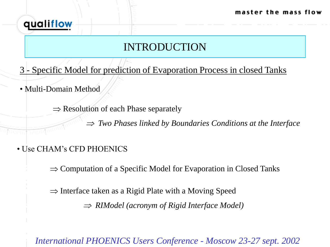

## INTRODUCTION

- 3 Specific Model for prediction of Evaporation Process in closed Tanks
- Multi-Domain Method

 $\Rightarrow$  Resolution of each Phase separately

 $\Rightarrow$  *Two Phases linked by Boundaries Conditions at the Interface* 

• Use CHAM's CFD PHOENICS

 $\Rightarrow$  Computation of a Specific Model for Evaporation in Closed Tanks

 $\Rightarrow$  Interface taken as a Rigid Plate with a Moving Speed

*RIModel (acronym of Rigid Interface Model)*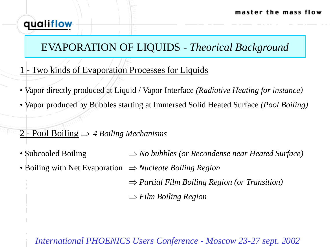## EVAPORATION OF LIQUIDS *- Theorical Background*

- 1 Two kinds of Evaporation Processes for Liquids
- Vapor directly produced at Liquid / Vapor Interface *(Radiative Heating for instance)*
- Vapor produced by Bubbles starting at Immersed Solid Heated Surface *(Pool Boiling)*
- 2 Pool Boiling *4 Boiling Mechanisms*
- Subcooled Boiling  $\Rightarrow$  *No bubbles (or Recondense near Heated Surface)*
- Boiling with Net Evaporation  $\Rightarrow$  *Nucleate Boiling Region* 
	- *Partial Film Boiling Region (or Transition)*
	- *Film Boiling Region*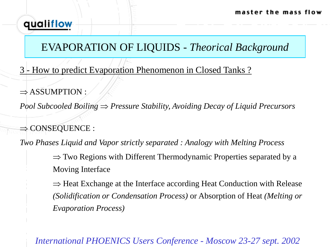## EVAPORATION OF LIQUIDS *- Theorical Background*

- 3 How to predict Evaporation Phenomenon in Closed Tanks ?
- $\Rightarrow$  ASSUMPTION :

*Pool Subcooled Boiling*  $\Rightarrow$  *Pressure Stability, Avoiding Decay of Liquid Precursors* 

 $\Rightarrow$  CONSEQUENCE :

*Two Phases Liquid and Vapor strictly separated : Analogy with Melting Process*

 $\Rightarrow$  Two Regions with Different Thermodynamic Properties separated by a Moving Interface

 $\Rightarrow$  Heat Exchange at the Interface according Heat Conduction with Release *(Solidification or Condensation Process)* or Absorption of Heat *(Melting or Evaporation Process)*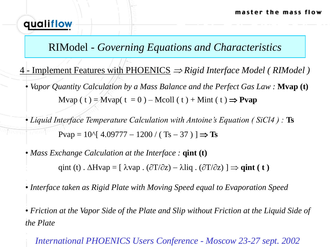#### RIModel *- Governing Equations and Characteristics*

 $4$  - Implement Features with PHOENICS  $\Rightarrow$  Rigid Interface Model (RIModel) • *Vapor Quantity Calculation by a Mass Balance and the Perfect Gas Law :* **Mvap (t)** Mvap ( t ) = Mvap( t = 0 ) – Mcoll ( t ) + Mint ( t )  $\Rightarrow$  **Pvap** 

• *Liquid Interface Temperature Calculation with Antoine's Equation ( SiCl4 ) :* **Ts**  $Pvap = 10^{6}$ [ 4.09777 – 1200 / ( Ts – 37 ) ]  $\Rightarrow$  **Ts** 

• *Mass Exchange Calculation at the Interface :* **qint (t)** qint (t)  $\Delta$ Hvap = [ $\lambda$ vap  $\Delta$  ( $\partial$ T/ $\partial$ z) –  $\lambda$ liq  $\Delta$  ( $\partial$ T/ $\partial$ z) ]  $\Rightarrow$  **qint (t)** 

• *Interface taken as Rigid Plate with Moving Speed equal to Evaporation Speed*

• *Friction at the Vapor Side of the Plate and Slip without Friction at the Liquid Side of the Plate*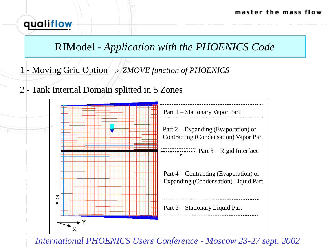#### RIModel *- Application with the PHOENICS Code*

- 1 Moving Grid Option *ZMOVE function of PHOENICS*
- 2 Tank Internal Domain splitted in 5 Zones

qualiflow

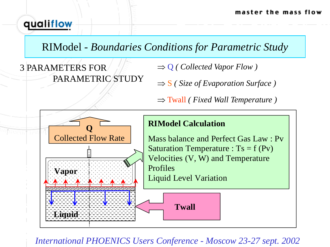## RIModel *- Boundaries Conditions for Parametric Study*

3 PARAMETERS FOR PARAMETRIC STUDY  $\Rightarrow$  Q ( Collected Vapor Flow )

 $\Rightarrow$  **S** ( Size of Evaporation Surface )

Twall *( Fixed Wall Temperature )*

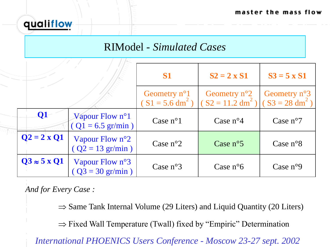#### RIModel *- Simulated Cases*

|                          |                                                         | S1                                                     | $S2 = 2 \times S1$                                                                   | $S3 = 5 \times S1$    |
|--------------------------|---------------------------------------------------------|--------------------------------------------------------|--------------------------------------------------------------------------------------|-----------------------|
|                          |                                                         | Geometry $n^{\circ}1$<br>$(S1 = 5.6$ dm <sup>2</sup> ) | Geometry $n^{\circ}2$<br>$(S2 = 11.2$ dm <sup>2</sup> ) $(S3 = 28$ dm <sup>2</sup> ) | Geometry $n^{\circ}3$ |
| $\overline{\mathbf{Q}}$  | Vapour Flow $n^{\circ}1$<br>$(Q1 = 6.5 \text{ gr/min})$ | Case $n^{\circ}1$                                      | Case $n^{\circ}4$                                                                    | Case $n^{\circ}7$     |
| $Q2 = 2 x Q1$            | Vapour Flow $n^{\circ}2$<br>$(Q2 = 13 \text{ gr/min})$  | Case $n^{\circ}2$                                      | Case $n^{\circ}5$                                                                    | Case $n^{\circ}8$     |
| $Q3 \approx 5 \times Q1$ | Vapour Flow $n^{\circ}3$<br>$(Q3 = 30 \text{ gr/min})$  | Case $n^{\circ}3$                                      | Case $n^{\circ}6$                                                                    | Case $n°9$            |

*And for Every Case :*

qualiflow

 $\Rightarrow$  Same Tank Internal Volume (29 Liters) and Liquid Quantity (20 Liters)

 $\Rightarrow$  Fixed Wall Temperature (Twall) fixed by "Empiric" Determination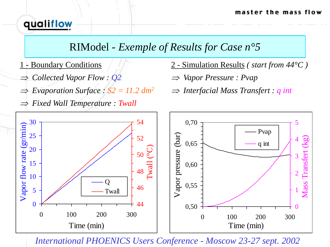### RIModel *- Exemple of Results for Case n°5*

1 - Boundary Conditions

qualiflow

- *Collected Vapor Flow : Q2*
- *Evaporation Surface : S2 = 11.2 dm<sup>2</sup>*
- *Fixed Wall Temperature : Twall*
- 2 Simulation Results *( start from 44°C )*
- *Vapor Pressure : Pvap*
- *Interfacial Mass Transfert : q int*

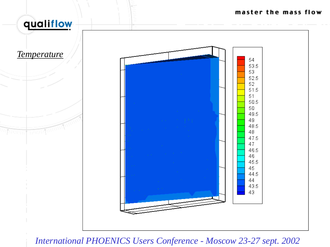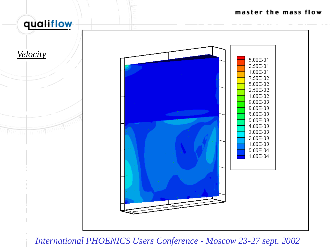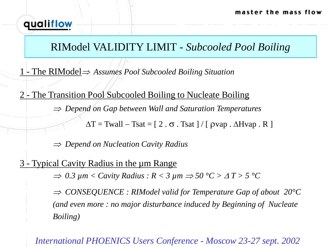## RIModel VALIDITY LIMIT *- Subcooled Pool Boiling*

1 - The RIModel *Assumes Pool Subcooled Boiling Situation*

2 - The Transition Pool Subcooled Boiling to Nucleate Boiling *Depend on Gap between Wall and Saturation Temperatures*

 $\Delta T = \text{Twall} - \text{Tsat} = [2 \cdot \sigma \cdot \text{Tsat}] / [ \rho \text{vap} \cdot \Delta \text{Hvap} \cdot R ]$ 

*Depend on Nucleation Cavity Radius*

Typical Cavity Radius in the µm Range

 $\Rightarrow$  0.3  $\mu$ m < Cavity Radius : R < 3  $\mu$ m  $\Rightarrow$  50 °C >  $\Delta T$  > 5 °C

 *CONSEQUENCE : RIModel valid for Temperature Gap of about 20°C (and even more : no major disturbance induced by Beginning of Nucleate Boiling)*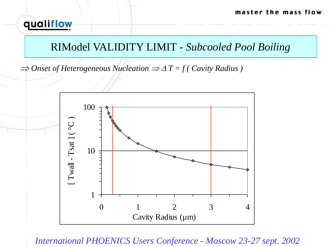#### RIModel VALIDITY LIMIT *- Subcooled Pool Boiling*

 $\Rightarrow$  Onset of Heterogeneous Nucleation  $\Rightarrow$   $\Delta T = f$  ( Cavity Radius )

qualiflow

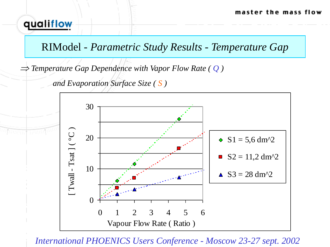### RIModel *- Parametric Study Results - Temperature Gap*

*Temperature Gap Dependence with Vapor Flow Rate ( Q )* 

*and Evaporation Surface Size ( S )*